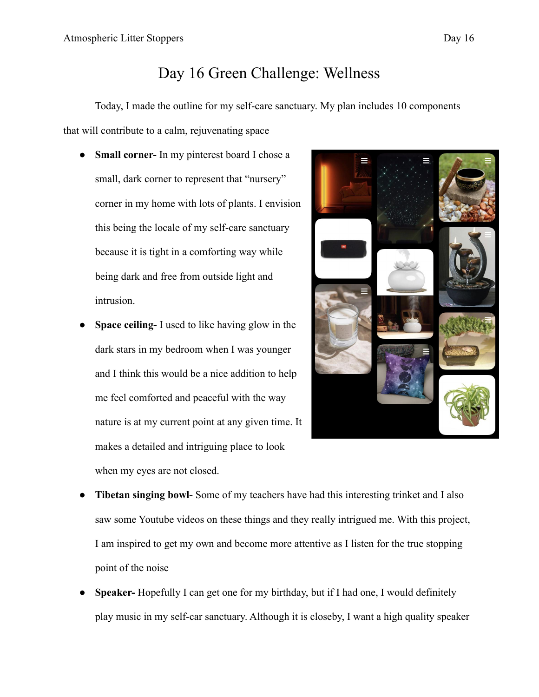## Day 16 Green Challenge: Wellness

Today, I made the outline for my self-care sanctuary. My plan includes 10 components that will contribute to a calm, rejuvenating space

- **Small corner-** In my pinterest board I chose a small, dark corner to represent that "nursery" corner in my home with lots of plants. I envision this being the locale of my self-care sanctuary because it is tight in a comforting way while being dark and free from outside light and intrusion.
- **Space ceiling-** I used to like having glow in the dark stars in my bedroom when I was younger and I think this would be a nice addition to help me feel comforted and peaceful with the way nature is at my current point at any given time. It makes a detailed and intriguing place to look when my eyes are not closed.



- **Tibetan singing bowl-** Some of my teachers have had this interesting trinket and I also saw some Youtube videos on these things and they really intrigued me. With this project, I am inspired to get my own and become more attentive as I listen for the true stopping point of the noise
- **Speaker-** Hopefully I can get one for my birthday, but if I had one, I would definitely play music in my self-car sanctuary. Although it is closeby, I want a high quality speaker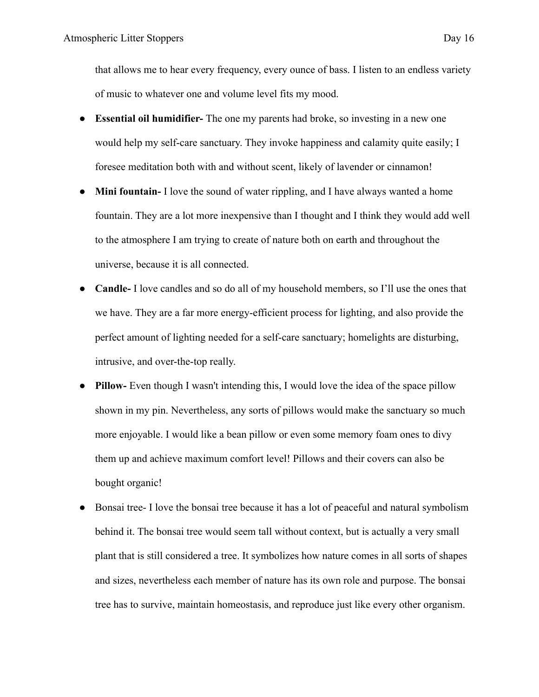that allows me to hear every frequency, every ounce of bass. I listen to an endless variety of music to whatever one and volume level fits my mood.

- **Essential oil humidifier-** The one my parents had broke, so investing in a new one would help my self-care sanctuary. They invoke happiness and calamity quite easily; I foresee meditation both with and without scent, likely of lavender or cinnamon!
- **Mini fountain-** I love the sound of water rippling, and I have always wanted a home fountain. They are a lot more inexpensive than I thought and I think they would add well to the atmosphere I am trying to create of nature both on earth and throughout the universe, because it is all connected.
- **Candle-** I love candles and so do all of my household members, so I'll use the ones that we have. They are a far more energy-efficient process for lighting, and also provide the perfect amount of lighting needed for a self-care sanctuary; homelights are disturbing, intrusive, and over-the-top really.
- **Pillow-** Even though I wasn't intending this, I would love the idea of the space pillow shown in my pin. Nevertheless, any sorts of pillows would make the sanctuary so much more enjoyable. I would like a bean pillow or even some memory foam ones to divy them up and achieve maximum comfort level! Pillows and their covers can also be bought organic!
- Bonsai tree- I love the bonsai tree because it has a lot of peaceful and natural symbolism behind it. The bonsai tree would seem tall without context, but is actually a very small plant that is still considered a tree. It symbolizes how nature comes in all sorts of shapes and sizes, nevertheless each member of nature has its own role and purpose. The bonsai tree has to survive, maintain homeostasis, and reproduce just like every other organism.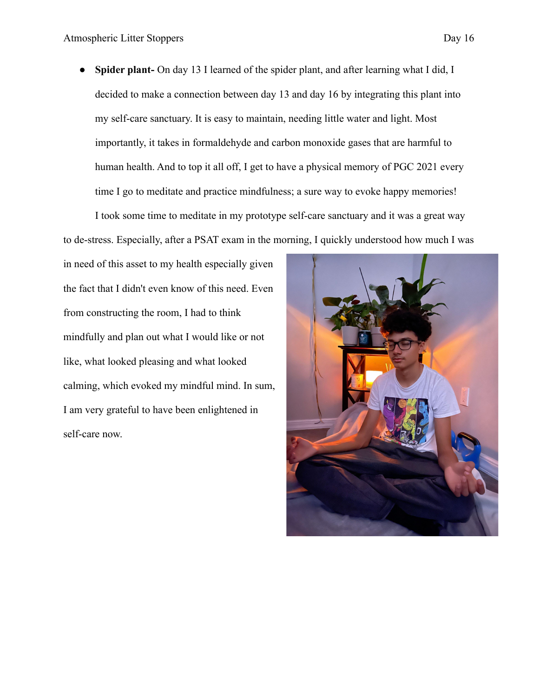● **Spider plant-** On day 13 I learned of the spider plant, and after learning what I did, I decided to make a connection between day 13 and day 16 by integrating this plant into my self-care sanctuary. It is easy to maintain, needing little water and light. Most importantly, it takes in formaldehyde and carbon monoxide gases that are harmful to human health. And to top it all off, I get to have a physical memory of PGC 2021 every time I go to meditate and practice mindfulness; a sure way to evoke happy memories! I took some time to meditate in my prototype self-care sanctuary and it was a great way

to de-stress. Especially, after a PSAT exam in the morning, I quickly understood how much I was

in need of this asset to my health especially given the fact that I didn't even know of this need. Even from constructing the room, I had to think mindfully and plan out what I would like or not like, what looked pleasing and what looked calming, which evoked my mindful mind. In sum, I am very grateful to have been enlightened in self-care now.